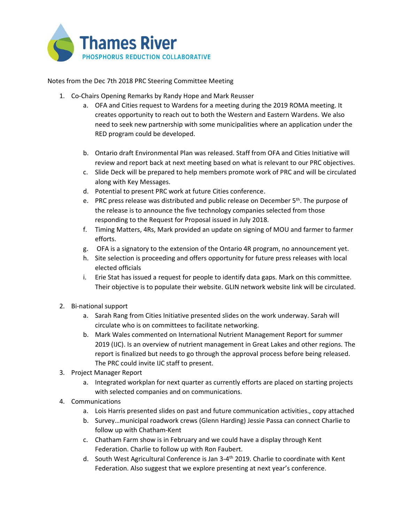

Notes from the Dec 7th 2018 PRC Steering Committee Meeting

- 1. Co-Chairs Opening Remarks by Randy Hope and Mark Reusser
	- a. OFA and Cities request to Wardens for a meeting during the 2019 ROMA meeting. It creates opportunity to reach out to both the Western and Eastern Wardens. We also need to seek new partnership with some municipalities where an application under the RED program could be developed.
	- b. Ontario draft Environmental Plan was released. Staff from OFA and Cities Initiative will review and report back at next meeting based on what is relevant to our PRC objectives.
	- c. Slide Deck will be prepared to help members promote work of PRC and will be circulated along with Key Messages.
	- d. Potential to present PRC work at future Cities conference.
	- e. PRC press release was distributed and public release on December  $5<sup>th</sup>$ . The purpose of the release is to announce the five technology companies selected from those responding to the Request for Proposal issued in July 2018.
	- f. Timing Matters, 4Rs, Mark provided an update on signing of MOU and farmer to farmer efforts.
	- g. OFA is a signatory to the extension of the Ontario 4R program, no announcement yet.
	- h. Site selection is proceeding and offers opportunity for future press releases with local elected officials
	- i. Erie Stat has issued a request for people to identify data gaps. Mark on this committee. Their objective is to populate their website. GLIN network website link will be circulated.
- 2. Bi-national support
	- a. Sarah Rang from Cities Initiative presented slides on the work underway. Sarah will circulate who is on committees to facilitate networking.
	- b. Mark Wales commented on International Nutrient Management Report for summer 2019 (IJC). Is an overview of nutrient management in Great Lakes and other regions. The report is finalized but needs to go through the approval process before being released. The PRC could invite IJC staff to present.
- 3. Project Manager Report
	- a. Integrated workplan for next quarter as currently efforts are placed on starting projects with selected companies and on communications.
- 4. Communications
	- a. Lois Harris presented slides on past and future communication activities., copy attached
	- b. Survey…municipal roadwork crews (Glenn Harding) Jessie Passa can connect Charlie to follow up with Chatham-Kent
	- c. Chatham Farm show is in February and we could have a display through Kent Federation. Charlie to follow up with Ron Faubert.
	- d. South West Agricultural Conference is Jan 3-4<sup>th</sup> 2019. Charlie to coordinate with Kent Federation. Also suggest that we explore presenting at next year's conference.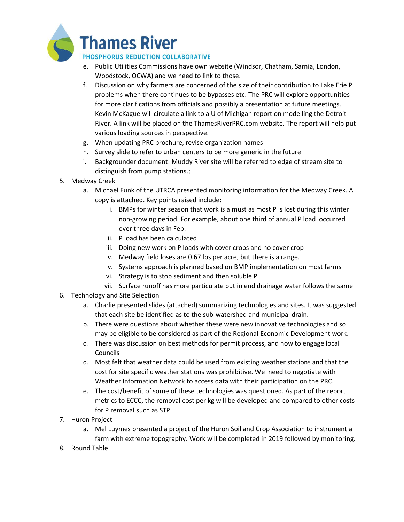

- e. Public Utilities Commissions have own website (Windsor, Chatham, Sarnia, London, Woodstock, OCWA) and we need to link to those.
- f. Discussion on why farmers are concerned of the size of their contribution to Lake Erie P problems when there continues to be bypasses etc. The PRC will explore opportunities for more clarifications from officials and possibly a presentation at future meetings. Kevin McKague will circulate a link to a U of Michigan report on modelling the Detroit River. A link will be placed on the ThamesRiverPRC.com website. The report will help put various loading sources in perspective.
- g. When updating PRC brochure, revise organization names
- h. Survey slide to refer to urban centers to be more generic in the future
- i. Backgrounder document: Muddy River site will be referred to edge of stream site to distinguish from pump stations.;
- 5. Medway Creek
	- a. Michael Funk of the UTRCA presented monitoring information for the Medway Creek. A copy is attached. Key points raised include:
		- i. BMPs for winter season that work is a must as most P is lost during this winter non-growing period. For example, about one third of annual P load occurred over three days in Feb.
		- ii. P load has been calculated
		- iii. Doing new work on P loads with cover crops and no cover crop
		- iv. Medway field loses are 0.67 lbs per acre, but there is a range.
		- v. Systems approach is planned based on BMP implementation on most farms
		- vi. Strategy is to stop sediment and then soluble P
		- vii. Surface runoff has more particulate but in end drainage water follows the same
- 6. Technology and Site Selection
	- a. Charlie presented slides (attached) summarizing technologies and sites. It was suggested that each site be identified as to the sub-watershed and municipal drain.
	- b. There were questions about whether these were new innovative technologies and so may be eligible to be considered as part of the Regional Economic Development work.
	- c. There was discussion on best methods for permit process, and how to engage local Councils
	- d. Most felt that weather data could be used from existing weather stations and that the cost for site specific weather stations was prohibitive. We need to negotiate with Weather Information Network to access data with their participation on the PRC.
	- e. The cost/benefit of some of these technologies was questioned. As part of the report metrics to ECCC, the removal cost per kg will be developed and compared to other costs for P removal such as STP.
- 7. Huron Project
	- a. Mel Luymes presented a project of the Huron Soil and Crop Association to instrument a farm with extreme topography. Work will be completed in 2019 followed by monitoring.
- 8. Round Table